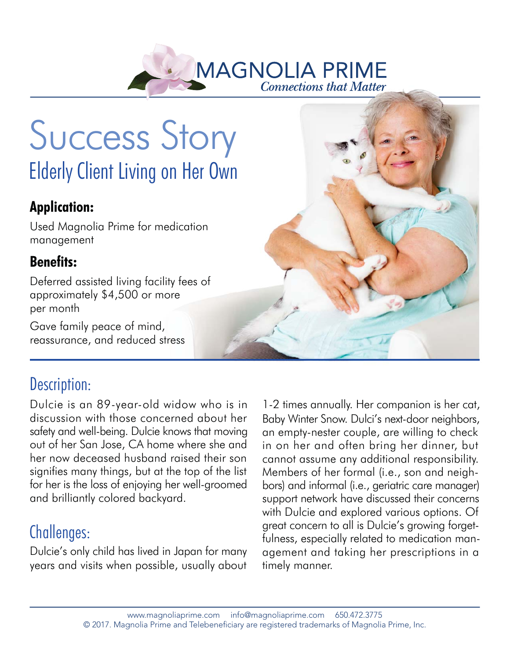

# Success Story Elderly Client Living on Her Own

#### **Application:**

Used Magnolia Prime for medication management

#### **Benefits:**

Deferred assisted living facility fees of approximately \$4,500 or more per month

Gave family peace of mind, reassurance, and reduced stress

# Description:

Dulcie is an 89-year-old widow who is in discussion with those concerned about her safety and well-being. Dulcie knows that moving out of her San Jose, CA home where she and her now deceased husband raised their son signifies many things, but at the top of the list for her is the loss of enjoying her well-groomed and brilliantly colored backyard.

# Challenges:

Dulcie's only child has lived in Japan for many years and visits when possible, usually about

1-2 times annually. Her companion is her cat, Baby Winter Snow. Dulci's next-door neighbors, an empty-nester couple, are willing to check in on her and often bring her dinner, but cannot assume any additional responsibility. Members of her formal (i.e., son and neighbors) and informal (i.e., geriatric care manager) support network have discussed their concerns with Dulcie and explored various options. Of great concern to all is Dulcie's growing forgetfulness, especially related to medication management and taking her prescriptions in a timely manner.